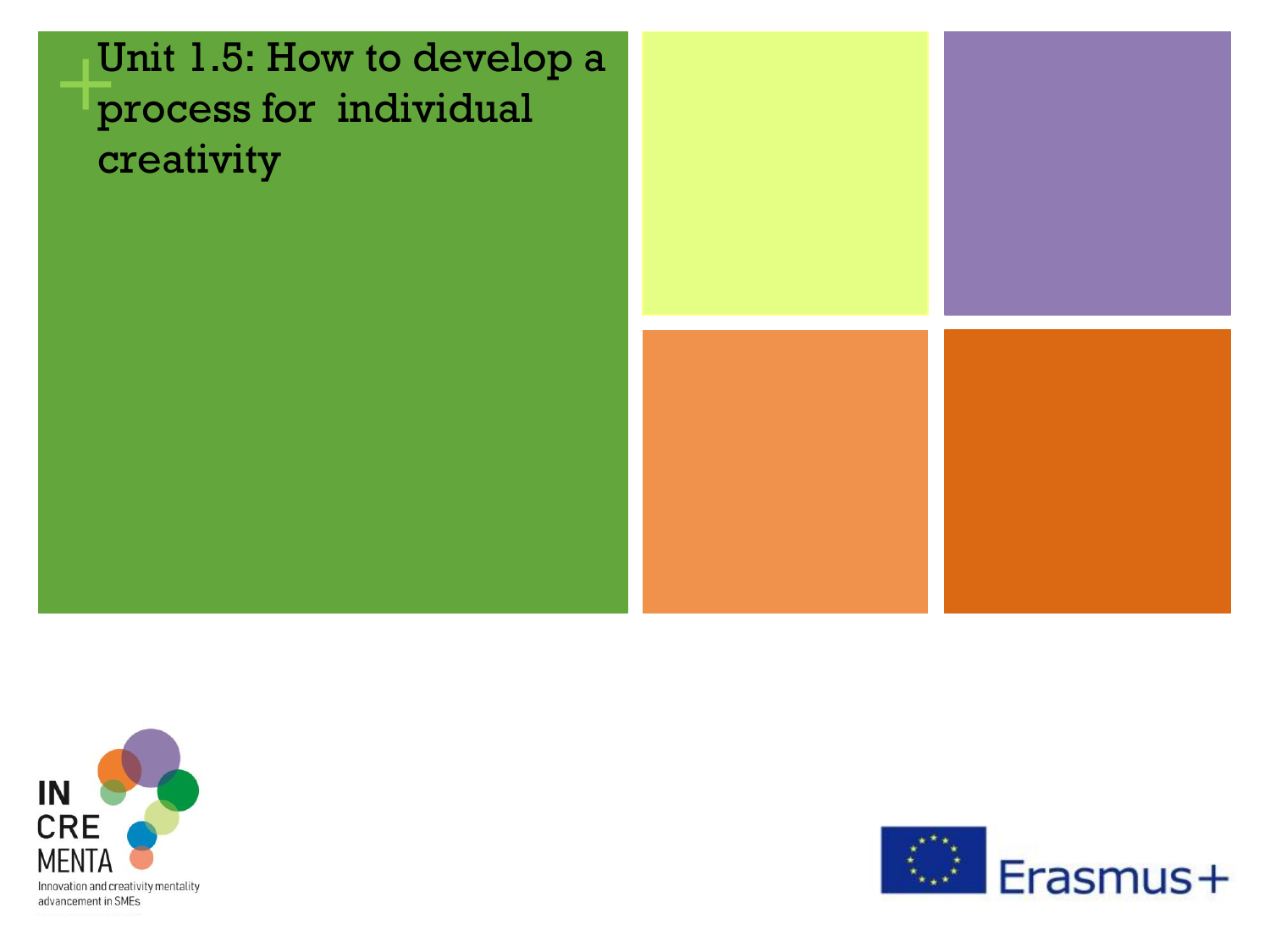## **+ Unit 1.5: How to develo<br>process for individual** Unit 1.5: How to develop a creativity





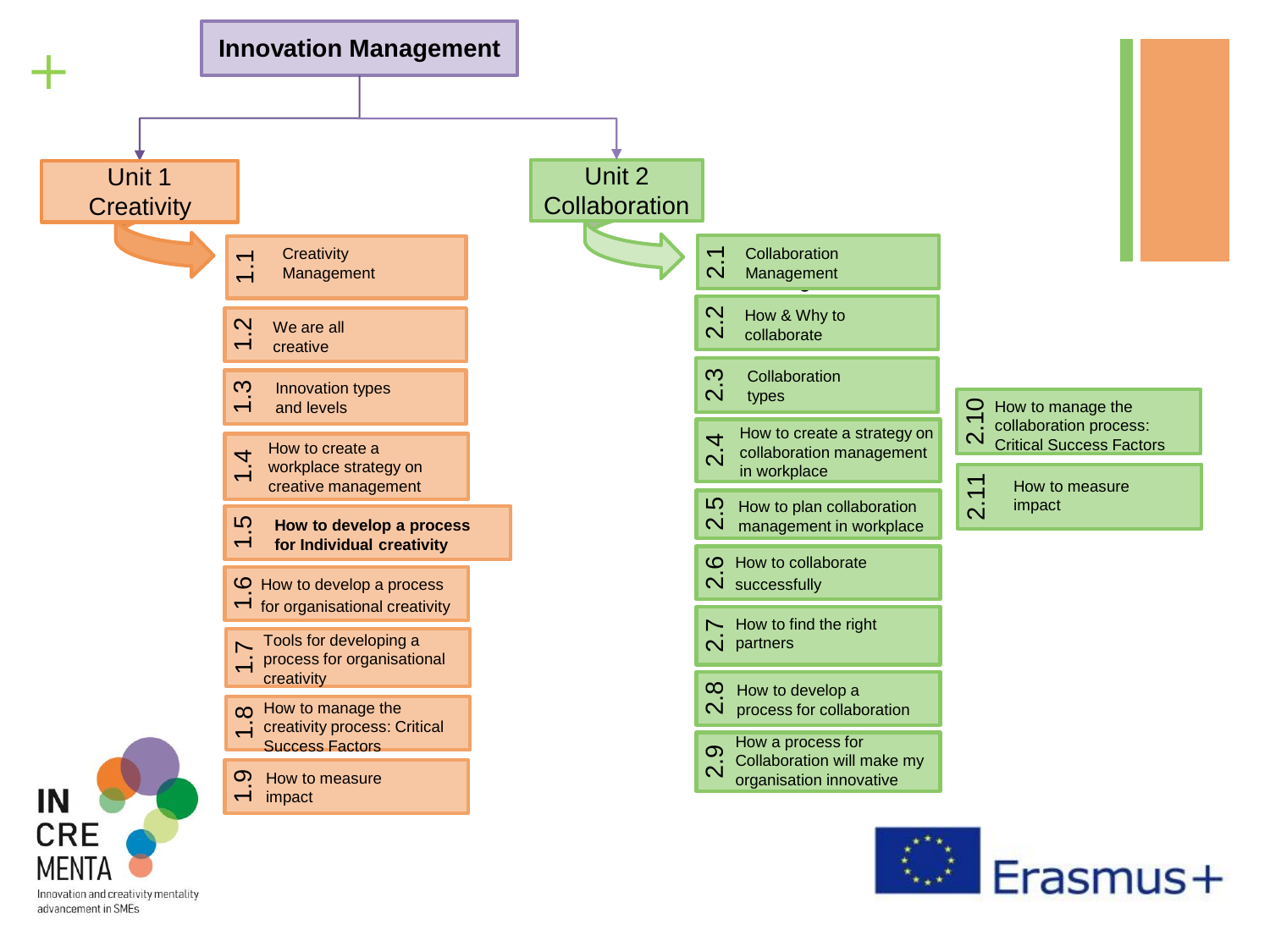

Innovation and creativity mentality advancement in SMEs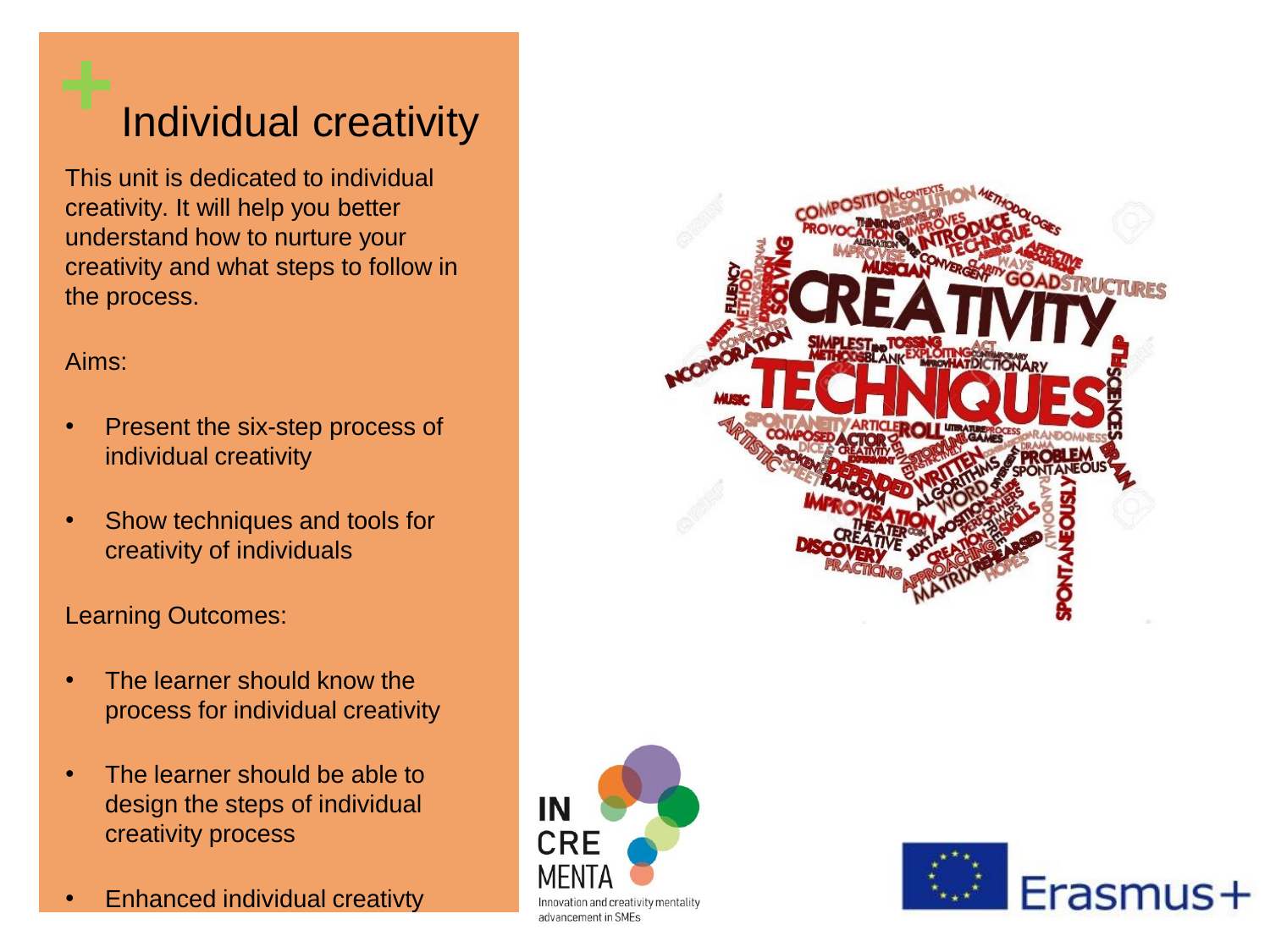# **+**Individual creativity

This unit is dedicated to individual creativity. It will help you better understand how to nurture your creativity and what steps to follow in the process.

## Aims:

- Present the six-step process of individual creativity
- Show techniques and tools for creativity of individuals

## Learning Outcomes:

- The learner should know the process for individual creativity
- The learner should be able to design the steps of individual creativity process

IN

CRE

Innovation and creativity mentality advancement in SMEs

• Enhanced individual creativty



Erasmus+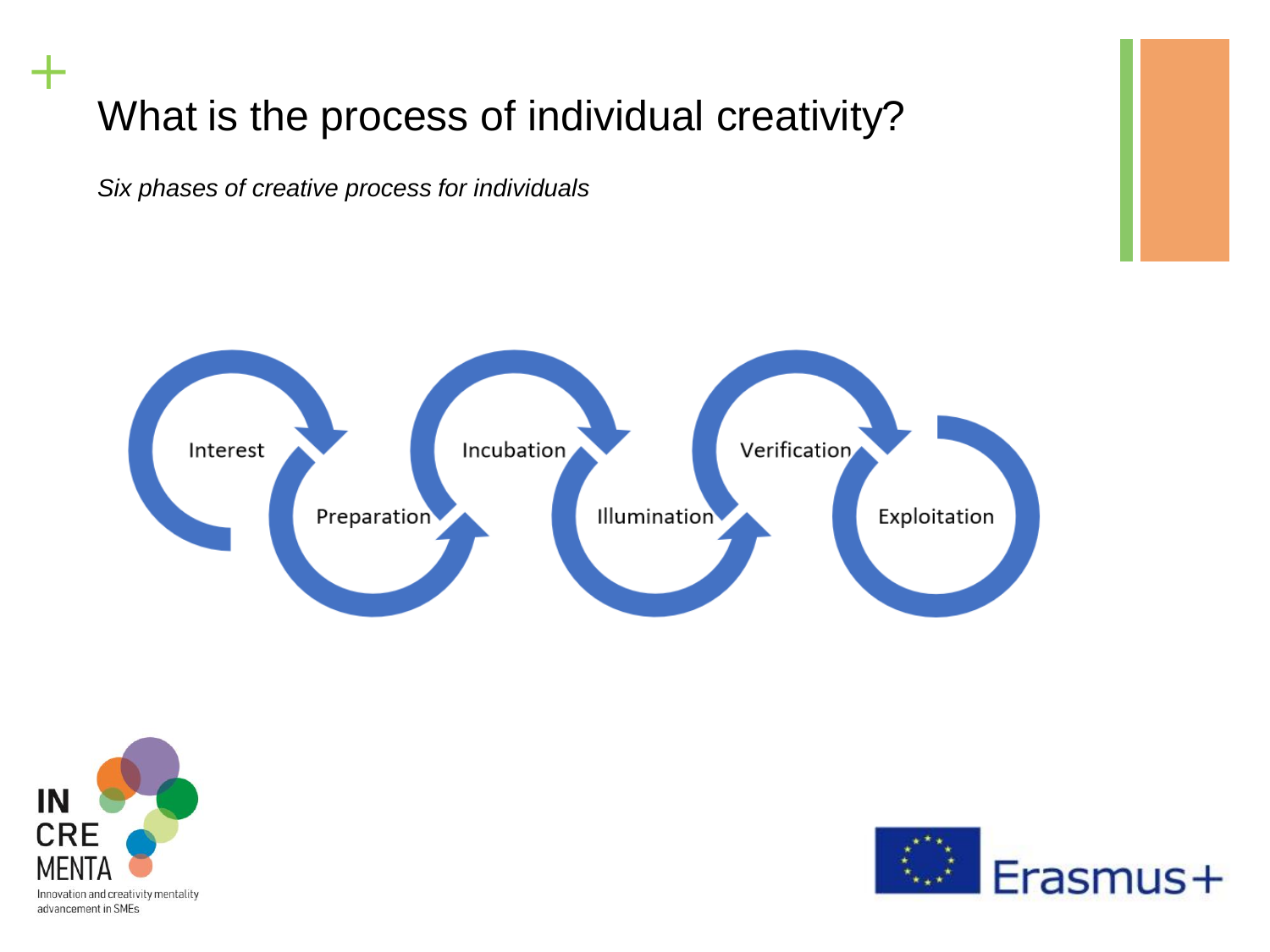# What is the process of individual creativity?

*Six phases of creative process for individuals* 





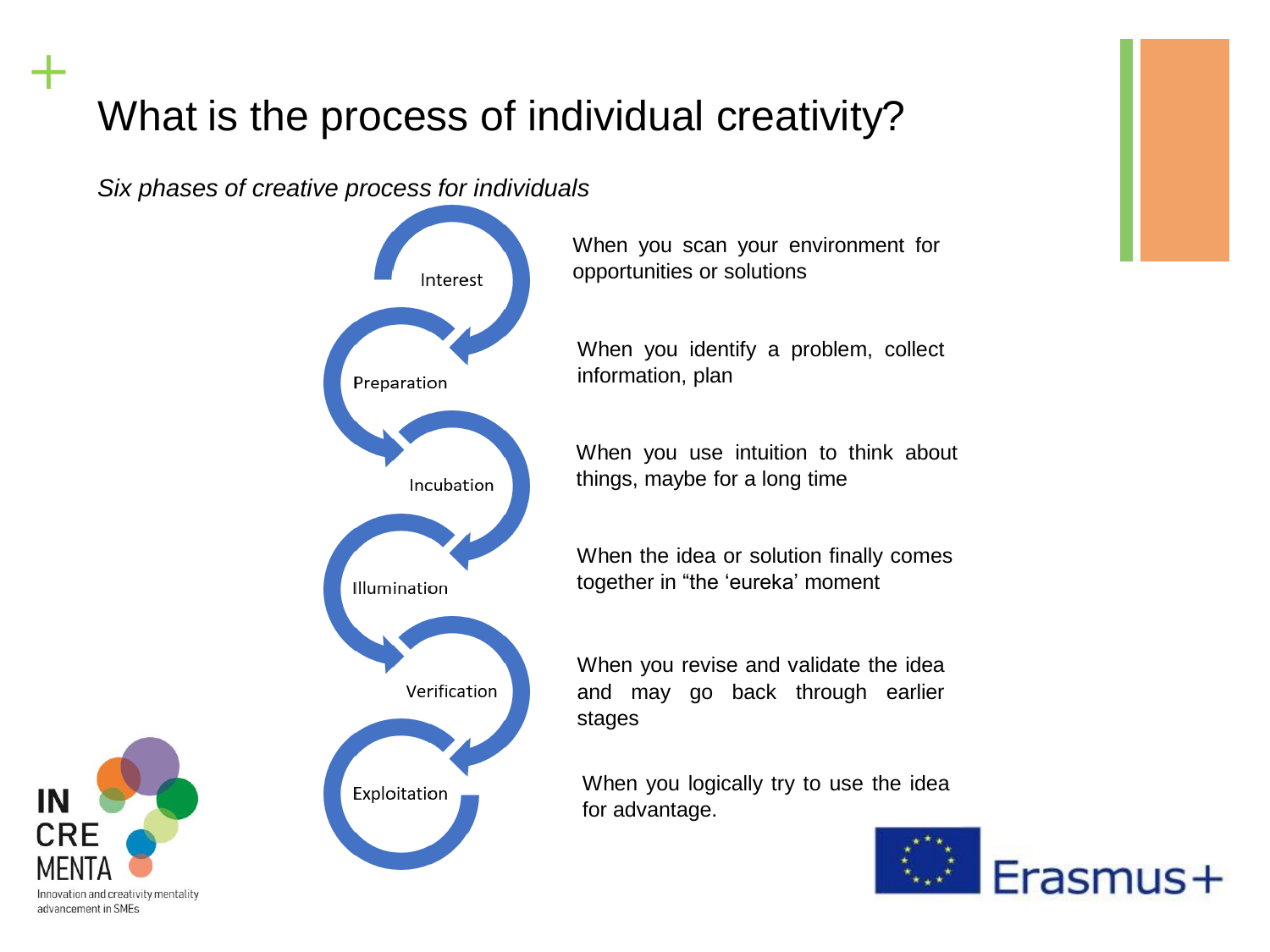# What is the process of individual creativity?

*Six phases of creative process for individuals* 



When you scan your environment for opportunities or solutions

When you identify a problem, collect information, plan

When you use intuition to think about things, maybe for a long time

When the idea or solution finally comes together in "the 'eureka' moment

When you revise and validate the idea and may go back through earlier stages

When you logically try to use the idea for advantage.



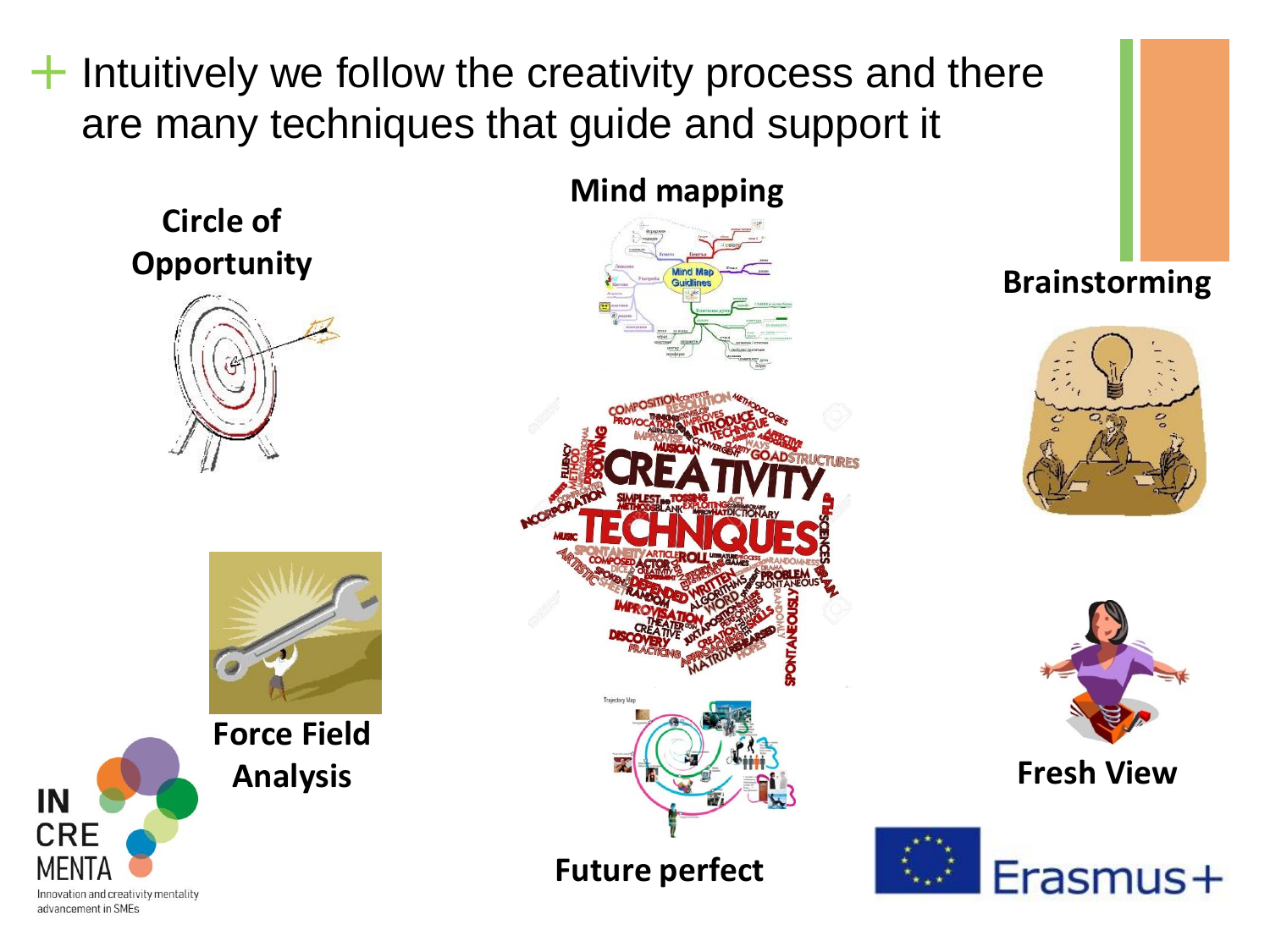**+** Intuitively we follow the creativity process and there are many techniques that guide and support it

**Circle of Opportunity**





**Force Field Analysis**

# **Mind mapping** lind Ma

**Future perfect**

**Brainstorming**





**Fresh View**



Innovation and creativity mentality advancement in SMEs

IN

**CRE**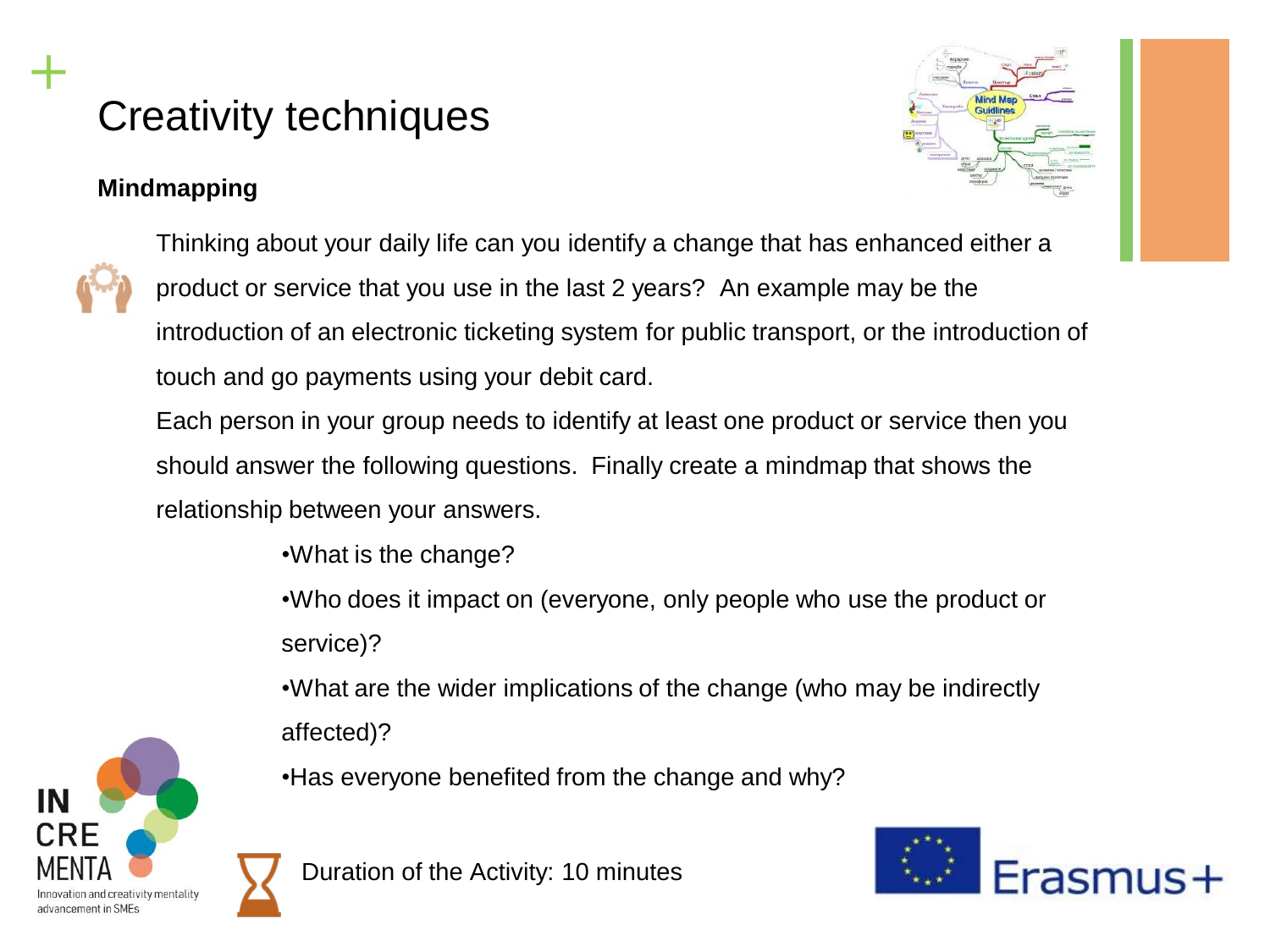# Creativity techniques

## **Mindmapping**

**+**



Thinking about your daily life can you identify a change that has enhanced either a product or service that you use in the last 2 years? An example may be the introduction of an electronic ticketing system for public transport, or the introduction of touch and go payments using your debit card.

Each person in your group needs to identify at least one product or service then you should answer the following questions. Finally create a mindmap that shows the relationship between your answers.

•What is the change?

•Who does it impact on (everyone, only people who use the product or service)?

•What are the wider implications of the change (who may be indirectly affected)?

•Has everyone benefited from the change and why?

Duration of the Activity: 10 minutes



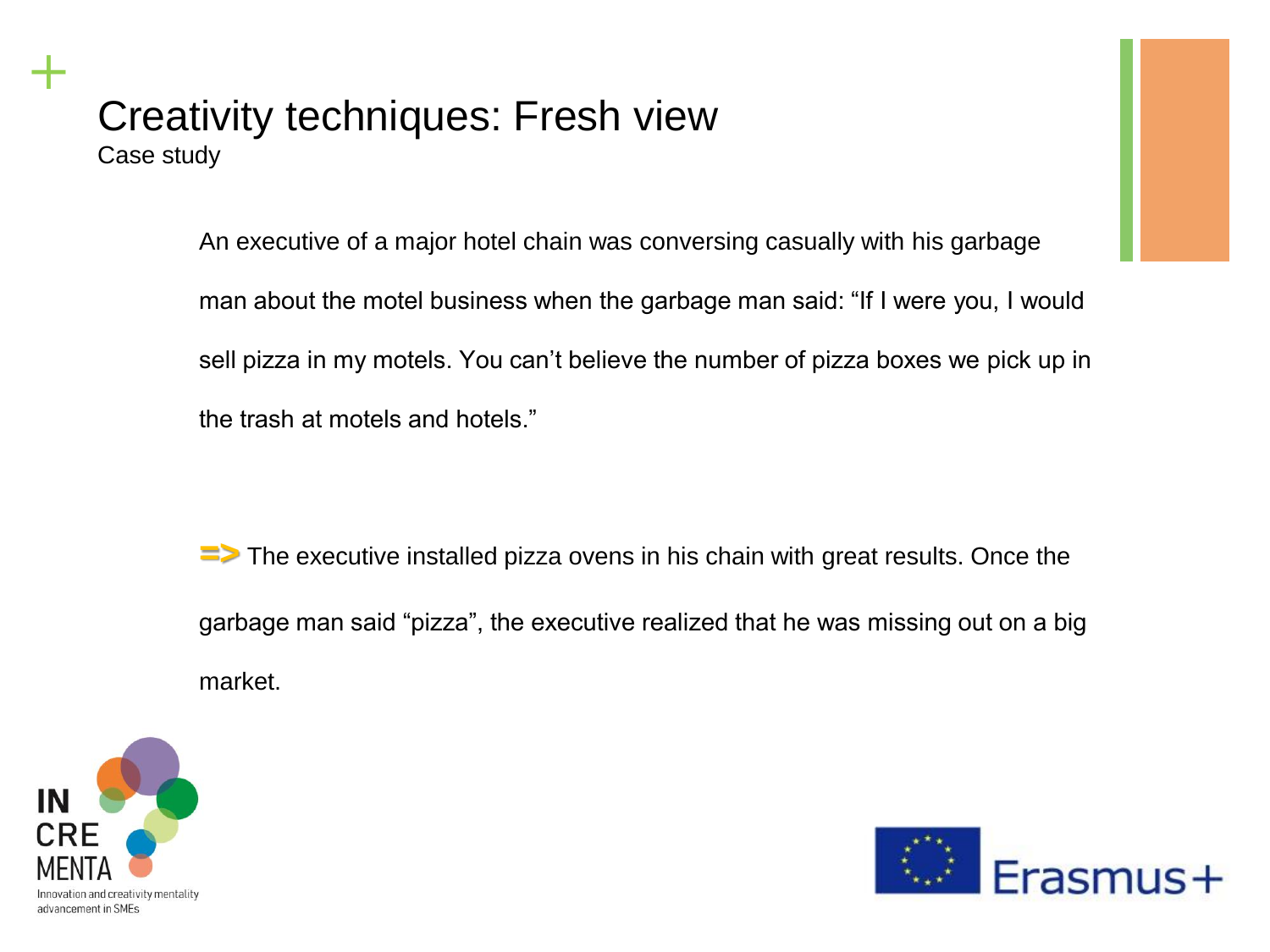## Creativity techniques: Fresh view Case study

An executive of a major hotel chain was conversing casually with his garbage man about the motel business when the garbage man said: "If I were you, I would sell pizza in my motels. You can't believe the number of pizza boxes we pick up in the trash at motels and hotels."

**=>** The executive installed pizza ovens in his chain with great results. Once the garbage man said "pizza", the executive realized that he was missing out on a big market.



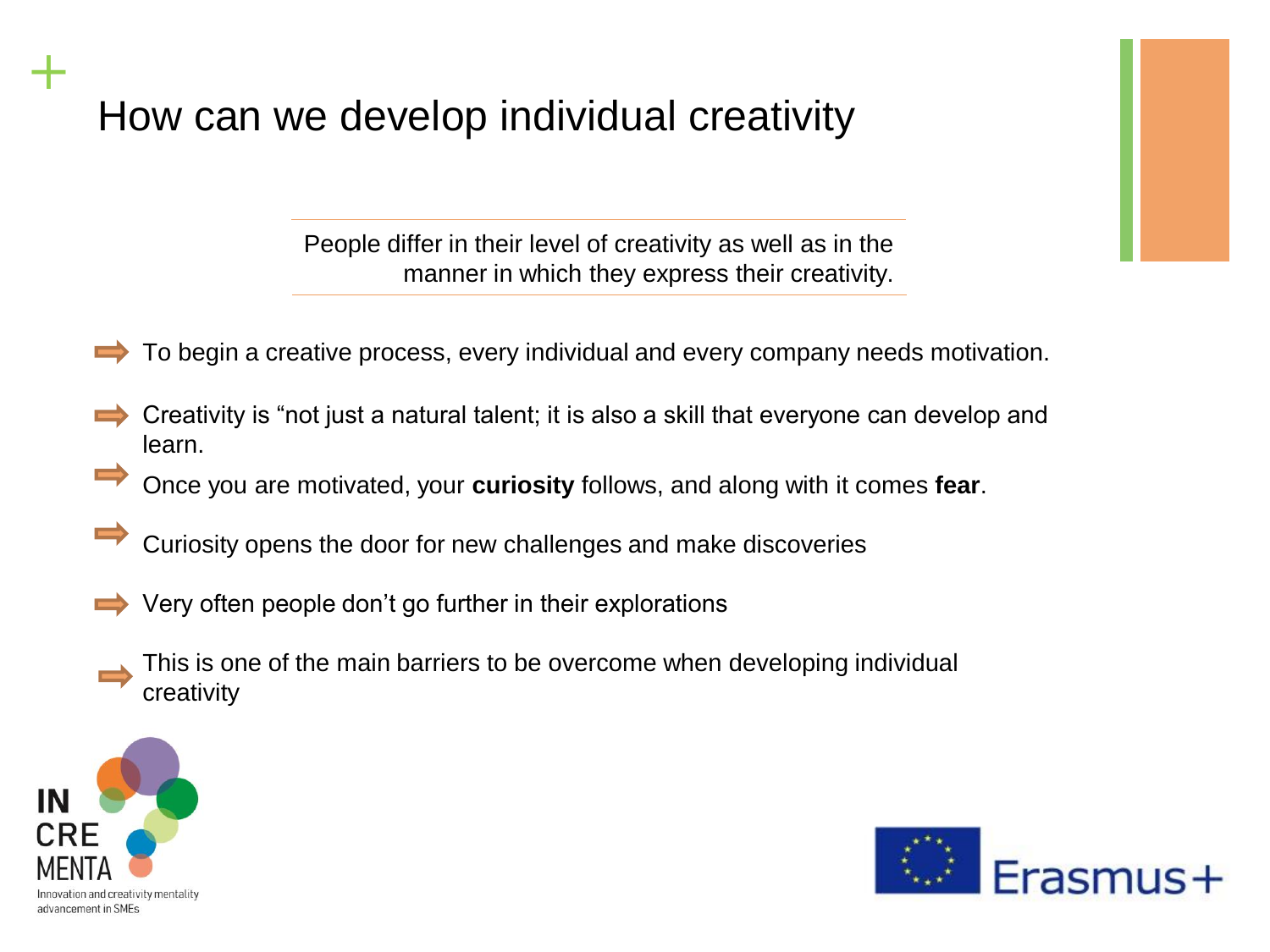How can we develop individual creativity

People differ in their level of creativity as well as in the manner in which they express their creativity.

- To begin a creative process, every individual and every company needs motivation.  $\Rightarrow$
- Creativity is "not just a natural talent; it is also a skill that everyone can develop and learn.
	- Once you are motivated, your **curiosity** follows, and along with it comes **fear**.
	- Curiosity opens the door for new challenges and make discoveries
- Very often people don't go further in their explorations
	- This is one of the main barriers to be overcome when developing individual creativity



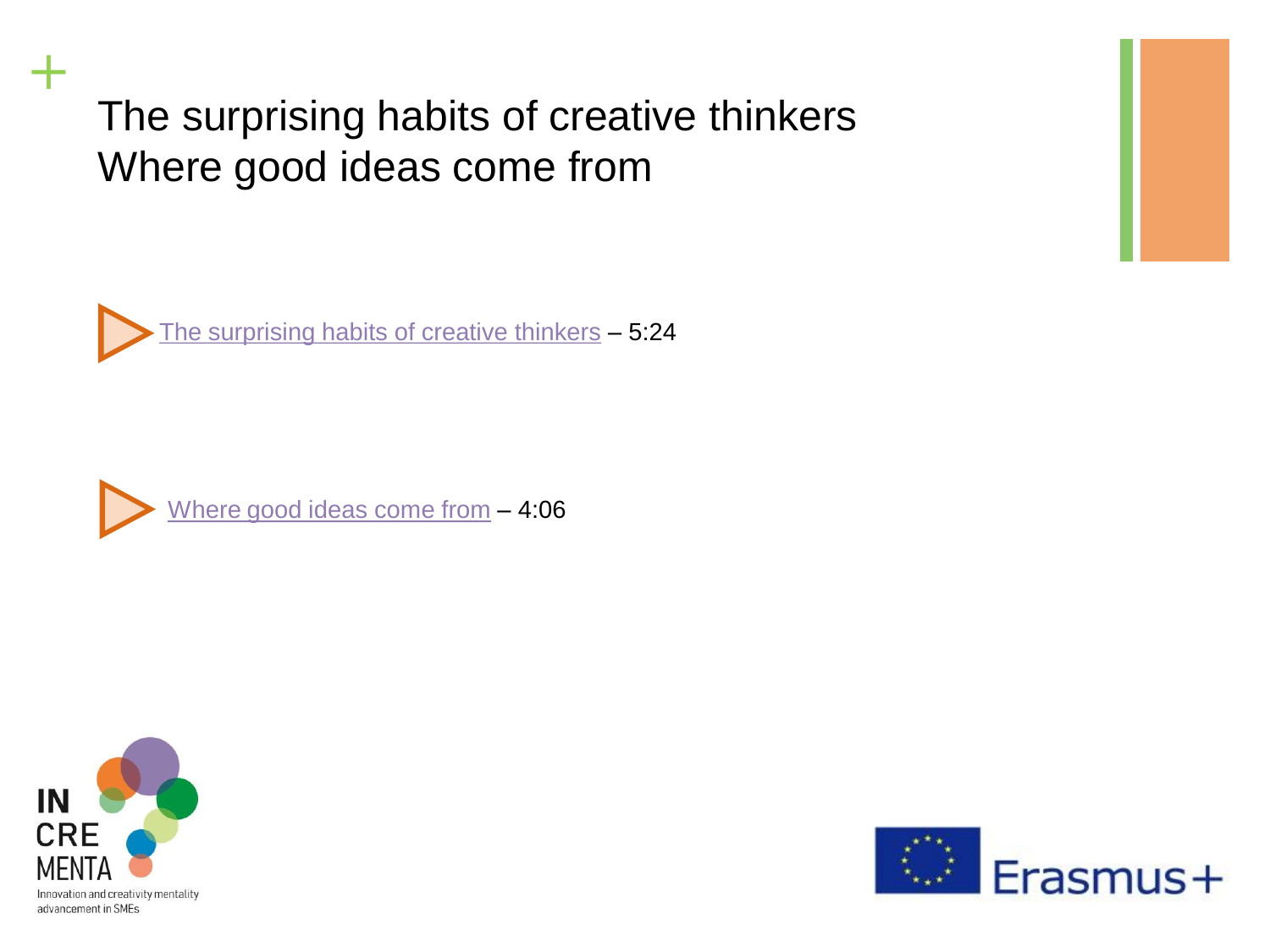The surprising habits of creative thinkers Where good ideas come from